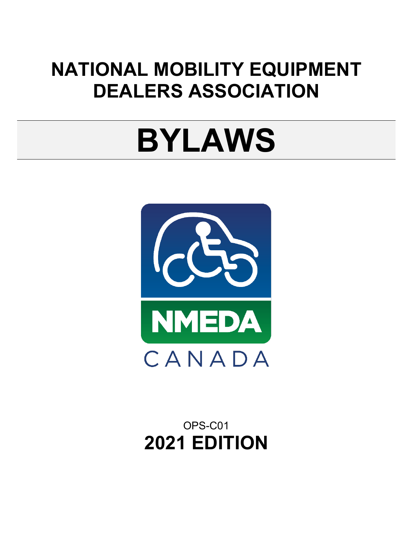# **NATIONAL MOBILITY EQUIPMENT DEALERS ASSOCIATION**

# **BYLAWS**



OPS-C01 **2021 EDITION**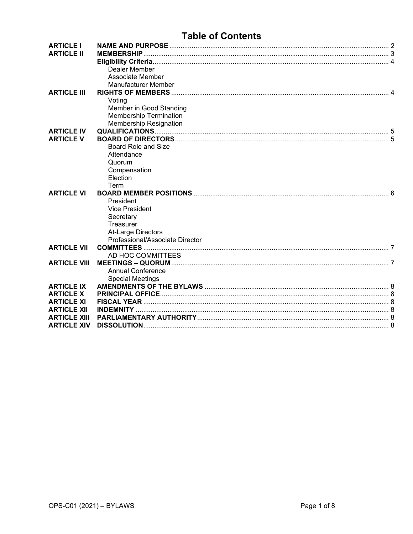### **Table of Contents**

<span id="page-1-0"></span>

| <b>ARTICLE I</b><br><b>ARTICLE II</b> | Dealer Member<br>Associate Member<br>Manufacturer Member                                     |  |
|---------------------------------------|----------------------------------------------------------------------------------------------|--|
| <b>ARTICLE III</b>                    |                                                                                              |  |
|                                       | Voting<br>Member in Good Standing<br><b>Membership Termination</b><br>Membership Resignation |  |
| <b>ARTICLE IV</b>                     |                                                                                              |  |
| <b>ARTICLE V</b>                      |                                                                                              |  |
|                                       | <b>Board Role and Size</b>                                                                   |  |
|                                       | Attendance                                                                                   |  |
|                                       | Quorum                                                                                       |  |
|                                       | Compensation                                                                                 |  |
|                                       | Election<br>Term                                                                             |  |
| <b>ARTICLE VI</b>                     |                                                                                              |  |
|                                       | President                                                                                    |  |
|                                       | <b>Vice President</b>                                                                        |  |
|                                       | Secretary                                                                                    |  |
|                                       | Treasurer                                                                                    |  |
|                                       | At-Large Directors                                                                           |  |
|                                       | Professional/Associate Director                                                              |  |
| <b>ARTICLE VII</b>                    |                                                                                              |  |
|                                       | AD HOC COMMITTEES                                                                            |  |
| <b>ARTICLE VIII</b>                   |                                                                                              |  |
|                                       | <b>Annual Conference</b>                                                                     |  |
|                                       | <b>Special Meetings</b>                                                                      |  |
| <b>ARTICLE IX</b>                     |                                                                                              |  |
| <b>ARTICLE X</b>                      |                                                                                              |  |
| <b>ARTICLE XI</b>                     |                                                                                              |  |
| <b>ARTICLE XII</b>                    |                                                                                              |  |
| <b>ARTICLE XIII</b>                   |                                                                                              |  |
| <b>ARTICLE XIV</b>                    |                                                                                              |  |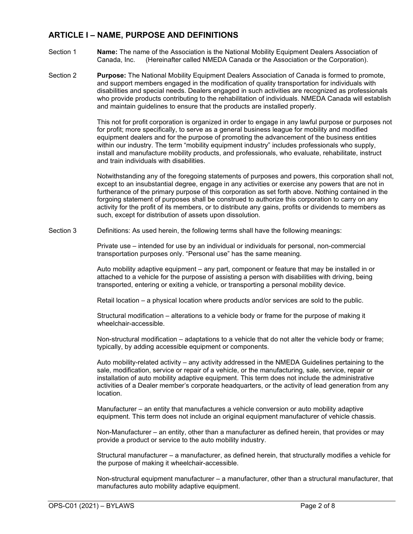#### **ARTICLE I – NAME, PURPOSE AND DEFINITIONS**

- Section 1 **Name:** The name of the Association is the National Mobility Equipment Dealers Association of Canada, Inc. (Hereinafter called NMEDA Canada or the Association or the Corporation).
- Section 2 **Purpose:** The National Mobility Equipment Dealers Association of Canada is formed to promote, and support members engaged in the modification of quality transportation for individuals with disabilities and special needs. Dealers engaged in such activities are recognized as professionals who provide products contributing to the rehabilitation of individuals. NMEDA Canada will establish and maintain guidelines to ensure that the products are installed properly.

This not for profit corporation is organized in order to engage in any lawful purpose or purposes not for profit; more specifically, to serve as a general business league for mobility and modified equipment dealers and for the purpose of promoting the advancement of the business entities within our industry. The term "mobility equipment industry" includes professionals who supply, install and manufacture mobility products, and professionals, who evaluate, rehabilitate, instruct and train individuals with disabilities.

Notwithstanding any of the foregoing statements of purposes and powers, this corporation shall not, except to an insubstantial degree, engage in any activities or exercise any powers that are not in furtherance of the primary purpose of this corporation as set forth above. Nothing contained in the forgoing statement of purposes shall be construed to authorize this corporation to carry on any activity for the profit of its members, or to distribute any gains, profits or dividends to members as such, except for distribution of assets upon dissolution.

Section 3 Definitions: As used herein, the following terms shall have the following meanings:

Private use – intended for use by an individual or individuals for personal, non-commercial transportation purposes only. "Personal use" has the same meaning.

Auto mobility adaptive equipment – any part, component or feature that may be installed in or attached to a vehicle for the purpose of assisting a person with disabilities with driving, being transported, entering or exiting a vehicle, or transporting a personal mobility device.

Retail location – a physical location where products and/or services are sold to the public.

Structural modification – alterations to a vehicle body or frame for the purpose of making it wheelchair-accessible.

Non-structural modification – adaptations to a vehicle that do not alter the vehicle body or frame; typically, by adding accessible equipment or components.

Auto mobility-related activity – any activity addressed in the NMEDA Guidelines pertaining to the sale, modification, service or repair of a vehicle, or the manufacturing, sale, service, repair or installation of auto mobility adaptive equipment. This term does not include the administrative activities of a Dealer member's corporate headquarters, or the activity of lead generation from any location.

Manufacturer – an entity that manufactures a vehicle conversion or auto mobility adaptive equipment. This term does not include an original equipment manufacturer of vehicle chassis.

Non-Manufacturer – an entity, other than a manufacturer as defined herein, that provides or may provide a product or service to the auto mobility industry.

Structural manufacturer – a manufacturer, as defined herein, that structurally modifies a vehicle for the purpose of making it wheelchair-accessible.

Non-structural equipment manufacturer – a manufacturer, other than a structural manufacturer, that manufactures auto mobility adaptive equipment.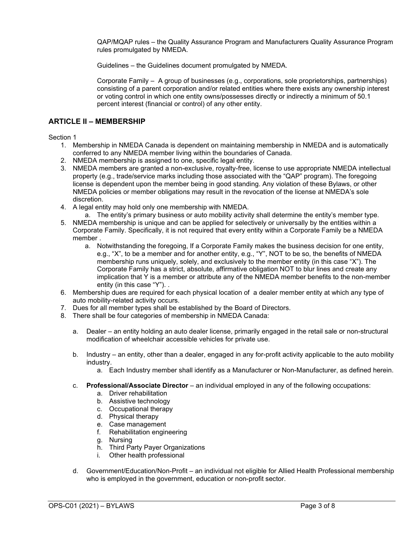QAP/MQAP rules – the Quality Assurance Program and Manufacturers Quality Assurance Program rules promulgated by NMEDA.

Guidelines – the Guidelines document promulgated by NMEDA.

Corporate Family – A group of businesses (e.g., corporations, sole proprietorships, partnerships) consisting of a parent corporation and/or related entities where there exists any ownership interest or voting control in which one entity owns/possesses directly or indirectly a minimum of 50.1 percent interest (financial or control) of any other entity.

#### <span id="page-3-0"></span>**ARTICLE II – MEMBERSHIP**

#### Section 1

- 1. Membership in NMEDA Canada is dependent on maintaining membership in NMEDA and is automatically conferred to any NMEDA member living within the boundaries of Canada.
- 2. NMEDA membership is assigned to one, specific legal entity.
- 3. NMEDA members are granted a non-exclusive, royalty-free, license to use appropriate NMEDA intellectual property (e.g., trade/service marks including those associated with the "QAP" program). The foregoing license is dependent upon the member being in good standing. Any violation of these Bylaws, or other NMEDA policies or member obligations may result in the revocation of the license at NMEDA's sole discretion.
- 4. A legal entity may hold only one membership with NMEDA.
	- a. The entity's primary business or auto mobility activity shall determine the entity's member type.
- 5. NMEDA membership is unique and can be applied for selectively or universally by the entities within a Corporate Family. Specifically, it is not required that every entity within a Corporate Family be a NMEDA member .
	- a. Notwithstanding the foregoing, If a Corporate Family makes the business decision for one entity, e.g., "X", to be a member and for another entity, e.g., "Y", NOT to be so, the benefits of NMEDA membership runs uniquely, solely, and exclusively to the member entity (in this case "X"). The Corporate Family has a strict, absolute, affirmative obligation NOT to blur lines and create any implication that Y is a member or attribute any of the NMEDA member benefits to the non-member entity (in this case "Y"). .
- 6. Membership dues are required for each physical location of a dealer member entity at which any type of auto mobility-related activity occurs.
- 7. Dues for all member types shall be established by the Board of Directors.
- 8. There shall be four categories of membership in NMEDA Canada:
	- a. Dealer an entity holding an auto dealer license, primarily engaged in the retail sale or non-structural modification of wheelchair accessible vehicles for private use.
	- b. Industry an entity, other than a dealer, engaged in any for-profit activity applicable to the auto mobility industry.
		- a. Each Industry member shall identify as a Manufacturer or Non-Manufacturer, as defined herein.
	- c. **Professional/Associate Director**  an individual employed in any of the following occupations:
		- a. Driver rehabilitation
		- b. Assistive technology
		- c. Occupational therapy
		- d. Physical therapy
		- e. Case management
		- f. Rehabilitation engineering
		- g. Nursing
		- h. Third Party Payer Organizations
		- i. Other health professional
	- d. Government/Education/Non-Profit an individual not eligible for Allied Health Professional membership who is employed in the government, education or non-profit sector.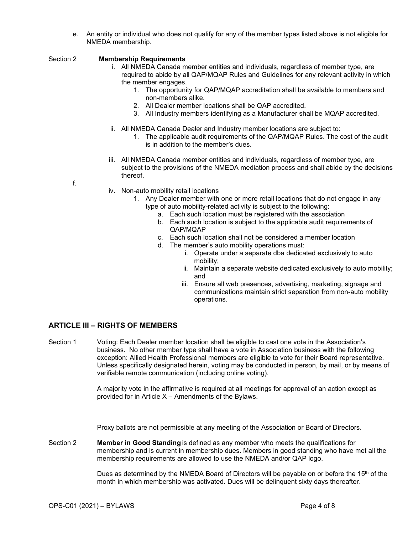e. An entity or individual who does not qualify for any of the member types listed above is not eligible for NMEDA membership.

#### <span id="page-4-0"></span>Section 2 **Membership Requirements**

- i. All NMEDA Canada member entities and individuals, regardless of member type, are required to abide by all QAP/MQAP Rules and Guidelines for any relevant activity in which the member engages.
	- 1. The opportunity for QAP/MQAP accreditation shall be available to members and non-members alike.
	- 2. All Dealer member locations shall be QAP accredited.
	- 3. All Industry members identifying as a Manufacturer shall be MQAP accredited.
- ii. All NMEDA Canada Dealer and Industry member locations are subject to:
	- 1. The applicable audit requirements of the QAP/MQAP Rules. The cost of the audit is in addition to the member's dues.
- iii. All NMEDA Canada member entities and individuals, regardless of member type, are subject to the provisions of the NMEDA mediation process and shall abide by the decisions thereof.

f.

- iv. Non-auto mobility retail locations
	- 1. Any Dealer member with one or more retail locations that do not engage in any type of auto mobility-related activity is subject to the following:
		- a. Each such location must be registered with the association
		- b. Each such location is subject to the applicable audit requirements of QAP/MQAP
		- c. Each such location shall not be considered a member location
		- d. The member's auto mobility operations must:
			- i. Operate under a separate dba dedicated exclusively to auto mobility;
			- ii. Maintain a separate website dedicated exclusively to auto mobility; and
			- iii. Ensure all web presences, advertising, marketing, signage and communications maintain strict separation from non-auto mobility operations.

#### <span id="page-4-1"></span>**ARTICLE III – RIGHTS OF MEMBERS**

<span id="page-4-2"></span>Section 1 Voting: Each Dealer member location shall be eligible to cast one vote in the Association's business. No other member type shall have a vote in Association business with the following exception: Allied Health Professional members are eligible to vote for their Board representative. Unless specifically designated herein, voting may be conducted in person, by mail, or by means of verifiable remote communication (including online voting).

> A majority vote in the affirmative is required at all meetings for approval of an action except as provided for in Article X – Amendments of the Bylaws.

Proxy ballots are not permissible at any meeting of the Association or Board of Directors.

<span id="page-4-3"></span>Section 2 **Member in Good Standing** is defined as any member who meets the qualifications for membership and is current in membership dues. Members in good standing who have met all the membership requirements are allowed to use the NMEDA and/or QAP logo.

> Dues as determined by the NMEDA Board of Directors will be payable on or before the  $15<sup>th</sup>$  of the month in which membership was activated. Dues will be delinquent sixty days thereafter.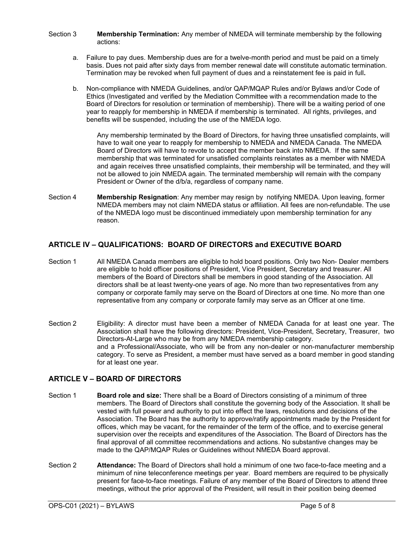#### <span id="page-5-0"></span>Section 3 **Membership Termination:** Any member of NMEDA will terminate membership by the following actions:

- a. Failure to pay dues. Membership dues are for a twelve-month period and must be paid on a timely basis. Dues not paid after sixty days from member renewal date will constitute automatic termination. Termination may be revoked when full payment of dues and a reinstatement fee is paid in full**.**
- b. Non-compliance with NMEDA Guidelines, and/or QAP/MQAP Rules and/or Bylaws and/or Code of Ethics (Investigated and verified by the Mediation Committee with a recommendation made to the Board of Directors for resolution or termination of membership). There will be a waiting period of one year to reapply for membership in NMEDA if membership is terminated. All rights, privileges, and benefits will be suspended, including the use of the NMEDA logo.

Any membership terminated by the Board of Directors, for having three unsatisfied complaints, will have to wait one year to reapply for membership to NMEDA and NMEDA Canada. The NMEDA Board of Directors will have to revote to accept the member back into NMEDA. If the same membership that was terminated for unsatisfied complaints reinstates as a member with NMEDA and again receives three unsatisfied complaints, their membership will be terminated, and they will not be allowed to join NMEDA again. The terminated membership will remain with the company President or Owner of the d/b/a, regardless of company name.

<span id="page-5-1"></span>Section 4 **Membership Resignation**: Any member may resign by notifying NMEDA. Upon leaving, former NMEDA members may not claim NMEDA status or affiliation. All fees are non-refundable. The use of the NMEDA logo must be discontinued immediately upon membership termination for any reason.

#### <span id="page-5-2"></span>**ARTICLE IV – QUALIFICATIONS: BOARD OF DIRECTORS and EXECUTIVE BOARD**

- Section 1 All NMEDA Canada members are eligible to hold board positions. Only two Non- Dealer members are eligible to hold officer positions of President, Vice President, Secretary and treasurer. All members of the Board of Directors shall be members in good standing of the Association. All directors shall be at least twenty-one years of age. No more than two representatives from any company or corporate family may serve on the Board of Directors at one time. No more than one representative from any company or corporate family may serve as an Officer at one time.
- Section 2 Eligibility: A director must have been a member of NMEDA Canada for at least one year. The Association shall have the following directors: President, Vice-President, Secretary, Treasurer, two Directors-At-Large who may be from any NMEDA membership category. and a Professional/Associate, who will be from any non-dealer or non-manufacturer membership category. To serve as President, a member must have served as a board member in good standing for at least one year.

#### <span id="page-5-3"></span>**ARTICLE V – BOARD OF DIRECTORS**

- <span id="page-5-4"></span>Section 1 **Board role and size:** There shall be a Board of Directors consisting of a minimum of three members. The Board of Directors shall constitute the governing body of the Association. It shall be vested with full power and authority to put into effect the laws, resolutions and decisions of the Association. The Board has the authority to approve/ratify appointments made by the President for offices, which may be vacant, for the remainder of the term of the office, and to exercise general supervision over the receipts and expenditures of the Association. The Board of Directors has the final approval of all committee recommendations and actions. No substantive changes may be made to the QAP/MQAP Rules or Guidelines without NMEDA Board approval.
- <span id="page-5-5"></span>Section 2 **Attendance:** The Board of Directors shall hold a minimum of one two face-to-face meeting and a minimum of nine teleconference meetings per year. Board members are required to be physically present for face-to-face meetings. Failure of any member of the Board of Directors to attend three meetings, without the prior approval of the President, will result in their position being deemed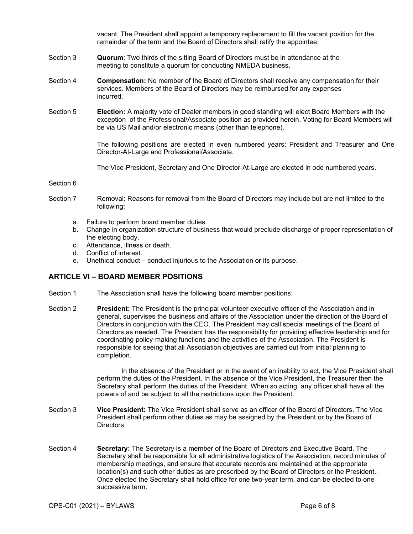vacant. The President shall appoint a temporary replacement to fill the vacant position for the remainder of the term and the Board of Directors shall ratify the appointee.

- <span id="page-6-0"></span>Section 3 **Quorum**: Two thirds of the sitting Board of Directors must be in attendance at the meeting to constitute a quorum for conducting NMEDA business.
- <span id="page-6-1"></span>Section 4 **Compensation:** No member of the Board of Directors shall receive any compensation for their services. Members of the Board of Directors may be reimbursed for any expenses incurred.
- <span id="page-6-2"></span>Section 5 **Election:** A majority vote of Dealer members in good standing will elect Board Members with the exception of the Professional/Associate position as provided herein. Voting for Board Members will be via US Mail and/or electronic means (other than telephone).

The following positions are elected in even numbered years: President and Treasurer and One Director-At-Large and Professional/Associate.

The Vice-President, Secretary and One Director-At-Large are elected in odd numbered years.

#### <span id="page-6-3"></span>Section 6

- Section 7 Removal: Reasons for removal from the Board of Directors may include but are not limited to the following:
	- a. Failure to perform board member duties.
	- b. Change in organization structure of business that would preclude discharge of proper representation of the electing body.
	- c. Attendance, illness or death.
	- d. Conflict of interest.
	- e. Unethical conduct conduct injurious to the Association or its purpose.

#### <span id="page-6-4"></span>**ARTICLE VI – BOARD MEMBER POSITIONS**

- Section 1 The Association shall have the following board member positions:
- <span id="page-6-5"></span>Section 2 **President:** The President is the principal volunteer executive officer of the Association and in general, supervises the business and affairs of the Association under the direction of the Board of Directors in conjunction with the CEO. The President may call special meetings of the Board of Directors as needed. The President has the responsibility for providing effective leadership and for coordinating policy-making functions and the activities of the Association. The President is responsible for seeing that all Association objectives are carried out from initial planning to completion.

In the absence of the President or in the event of an inability to act, the Vice President shall perform the duties of the President. In the absence of the Vice President, the Treasurer then the Secretary shall perform the duties of the President. When so acting, any officer shall have all the powers of and be subject to all the restrictions upon the President.

- <span id="page-6-6"></span>Section 3 **Vice President:** The Vice President shall serve as an officer of the Board of Directors. The Vice President shall perform other duties as may be assigned by the President or by the Board of Directors.
- <span id="page-6-7"></span>Section 4 **Secretary:** The Secretary is a member of the Board of Directors and Executive Board. The Secretary shall be responsible for all administrative logistics of the Association, record minutes of membership meetings, and ensure that accurate records are maintained at the appropriate location(s) and such other duties as are prescribed by the Board of Directors or the President.. Once elected the Secretary shall hold office for one two-year term. and can be elected to one successive term.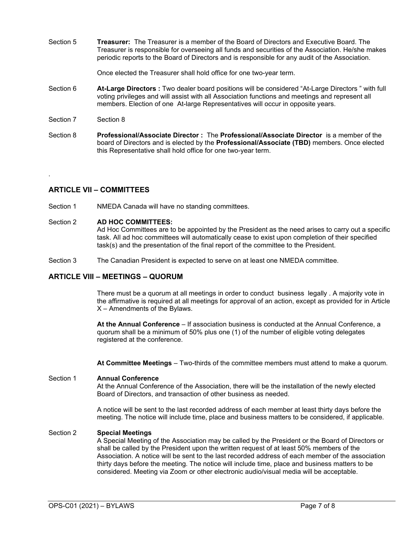<span id="page-7-0"></span>Section 5 **Treasurer:** The Treasurer is a member of the Board of Directors and Executive Board. The Treasurer is responsible for overseeing all funds and securities of the Association. He/she makes periodic reports to the Board of Directors and is responsible for any audit of the Association.

Once elected the Treasurer shall hold office for one two-year term.

- <span id="page-7-1"></span>Section 6 **At-Large Directors :** Two dealer board positions will be considered "At-Large Directors " with full voting privileges and will assist with all Association functions and meetings and represent all members. Election of one At-large Representatives will occur in opposite years.
- Section 7 Section 8

.

<span id="page-7-2"></span>Section 8 **Professional/Associate Director :** The **Professional/Associate Director** is a member of the board of Directors and is elected by the **Professional/Associate (TBD)** members. Once elected this Representative shall hold office for one two-year term.

#### <span id="page-7-3"></span>**ARTICLE VII – COMMITTEES**

Section 1 NMEDA Canada will have no standing committees.

#### Section 2 **AD HOC COMMITTEES:**

Ad Hoc Committees are to be appointed by the President as the need arises to carry out a specific task. All ad hoc committees will automatically cease to exist upon completion of their specified task(s) and the presentation of the final report of the committee to the President.

Section 3 The Canadian President is expected to serve on at least one NMEDA committee.

#### <span id="page-7-4"></span>**ARTICLE VIII – MEETINGS – QUORUM**

There must be a quorum at all meetings in order to conduct business legally . A majority vote in the affirmative is required at all meetings for approval of an action, except as provided for in Article X – Amendments of the Bylaws.

**At the Annual Conference** – If association business is conducted at the Annual Conference, a quorum shall be a minimum of 50% plus one (1) of the number of eligible voting delegates registered at the conference.

**At Committee Meetings** – Two-thirds of the committee members must attend to make a quorum.

#### <span id="page-7-5"></span>Section 1 **Annual Conference**

At the Annual Conference of the Association, there will be the installation of the newly elected Board of Directors, and transaction of other business as needed.

A notice will be sent to the last recorded address of each member at least thirty days before the meeting. The notice will include time, place and business matters to be considered, if applicable.

#### <span id="page-7-7"></span><span id="page-7-6"></span>Section 2 **Special Meetings**

A Special Meeting of the Association may be called by the President or the Board of Directors or shall be called by the President upon the written request of at least 50% members of the Association. A notice will be sent to the last recorded address of each member of the association thirty days before the meeting. The notice will include time, place and business matters to be considered. Meeting via Zoom or other electronic audio/visual media will be acceptable.